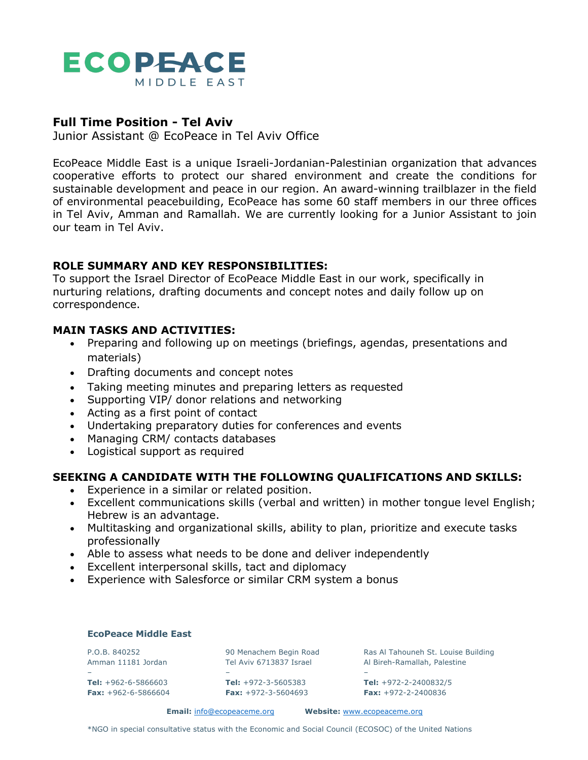

# **Full Time Position - Tel Aviv**

Junior Assistant @ EcoPeace in Tel Aviv Office

EcoPeace Middle East is a unique Israeli-Jordanian-Palestinian organization that advances cooperative efforts to protect our shared environment and create the conditions for sustainable development and peace in our region. An award-winning trailblazer in the field of environmental peacebuilding, EcoPeace has some 60 staff members in our three offices in Tel Aviv, Amman and Ramallah. We are currently looking for a Junior Assistant to join our team in Tel Aviv.

# **ROLE SUMMARY AND KEY RESPONSIBILITIES:**

To support the Israel Director of EcoPeace Middle East in our work, specifically in nurturing relations, drafting documents and concept notes and daily follow up on correspondence.

# **MAIN TASKS AND ACTIVITIES:**

- Preparing and following up on meetings (briefings, agendas, presentations and materials)
- Drafting documents and concept notes
- Taking meeting minutes and preparing letters as requested
- Supporting VIP/ donor relations and networking
- Acting as a first point of contact
- Undertaking preparatory duties for conferences and events
- Managing CRM/ contacts databases
- Logistical support as required

### **SEEKING A CANDIDATE WITH THE FOLLOWING QUALIFICATIONS AND SKILLS:**

- Experience in a similar or related position.
- Excellent communications skills (verbal and written) in mother tongue level English; Hebrew is an advantage.
- Multitasking and organizational skills, ability to plan, prioritize and execute tasks professionally
- Able to assess what needs to be done and deliver independently
- Excellent interpersonal skills, tact and diplomacy
- Experience with Salesforce or similar CRM system a bonus

### **EcoPeace Middle East**

– – –

P.O.B. 840252 90 Menachem Begin Road Ras Al Tahouneh St. Louise Building Amman 11181 Jordan Tel Aviv 6713837 Israel Al Bireh-Ramallah, Palestine

**Tel:** +962-6-5866603 **Tel:** +972-3-5605383 **Tel:** +972-2-2400832/5 **Fax:** +962-6-5866604 **Fax:** +972-3-5604693 **Fax:** +972-2-2400836

**Email:** info@ecopeaceme.org **Website:** www.ecopeaceme.org

\*NGO in special consultative status with the Economic and Social Council (ECOSOC) of the United Nations